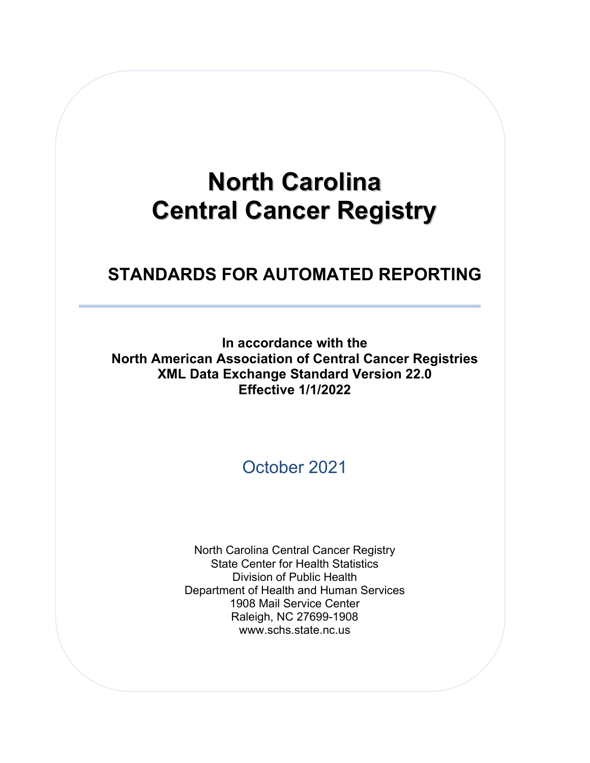# **North Carolina Central Cancer Registry**

# **STANDARDS FOR AUTOMATED REPORTING**

**In accordance with the North American Association of Central Cancer Registries XML Data Exchange Standard Version 22.0 Effective 1/1/2022**

October 2021

North Carolina Central Cancer Registry State Center for Health Statistics Division of Public Health Department of Health and Human Services 1908 Mail Service Center Raleigh, NC 27699-1908 www.schs.state.nc.us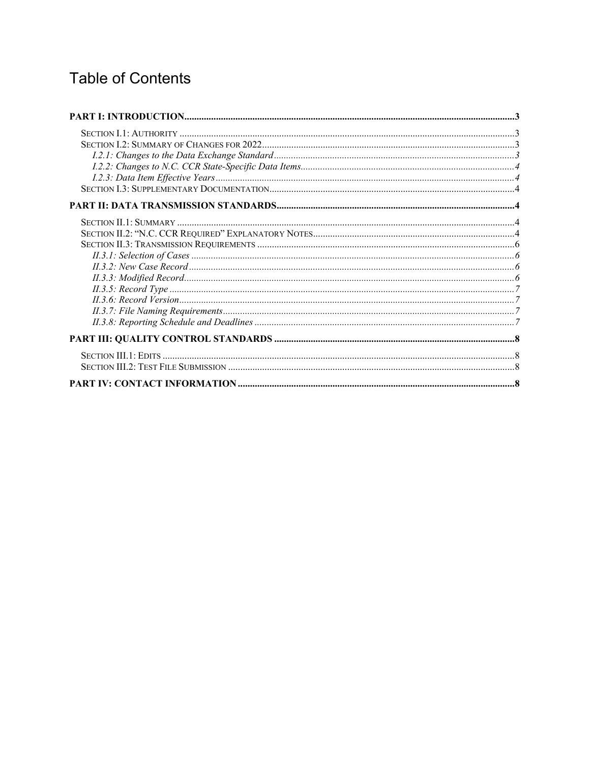# **Table of Contents**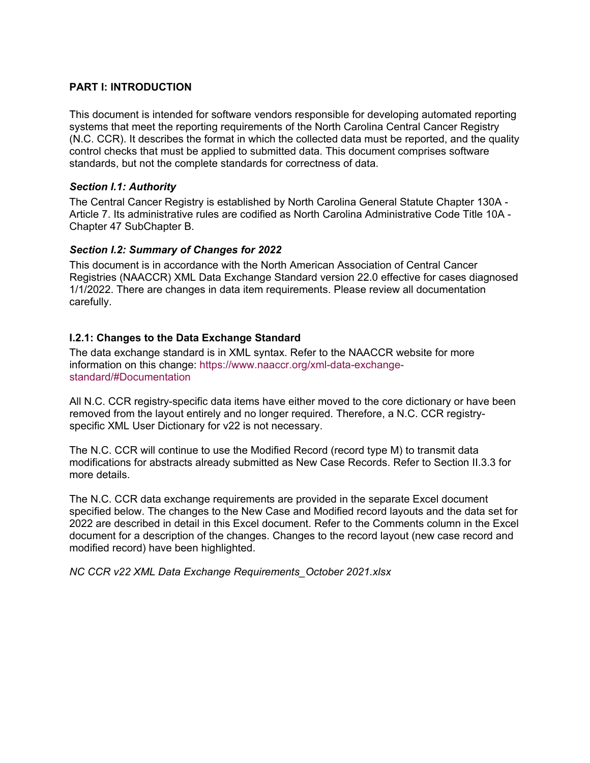# <span id="page-2-0"></span>**PART I: INTRODUCTION**

This document is intended for software vendors responsible for developing automated reporting systems that meet the reporting requirements of the North Carolina Central Cancer Registry (N.C. CCR). It describes the format in which the collected data must be reported, and the quality control checks that must be applied to submitted data. This document comprises software standards, but not the complete standards for correctness of data.

# <span id="page-2-1"></span>*Section I.1: Authority*

The Central Cancer Registry is established by North [Carolina](http://www.schs.state.nc.us/SCHS/CCR/Article_7.html) General Statute Chapter 130A - [Article](http://www.schs.state.nc.us/SCHS/CCR/Article_7.html) 7. Its administrative rules are codified as North Carolina [Administrative](http://ncrules.state.nc.us/ncadministrativ_/title10ahealtha_/chapter47inform_/subchapterbrule/content.htm) Code Title 10A - Chapter 47 [SubChapter](http://ncrules.state.nc.us/ncadministrativ_/title10ahealtha_/chapter47inform_/subchapterbrule/content.htm) B.

# <span id="page-2-2"></span>*Section I.2: Summary of Changes for 2022*

This document is in accordance with the North American Association of Central Cancer Registries (NAACCR) XML Data Exchange Standard version 22.0 effective for cases diagnosed 1/1/2022. There are changes in data item requirements. Please review all documentation carefully.

# <span id="page-2-3"></span>**I.2.1: Changes to the Data Exchange Standard**

The data exchange standard is in XML syntax. Refer to the NAACCR website for more information on this change: [https://www.naaccr.org/xml-data-exchange](https://www.naaccr.org/xml-data-exchange-standard/#Documentation)[standard/#Documentation](https://www.naaccr.org/xml-data-exchange-standard/#Documentation)

All N.C. CCR registry-specific data items have either moved to the core dictionary or have been removed from the layout entirely and no longer required. Therefore, a N.C. CCR registryspecific XML User Dictionary for v22 is not necessary.

The N.C. CCR will continue to use the Modified Record (record type M) to transmit data modifications for abstracts already submitted as New Case Records. Refer to Section II.3.3 for more details.

The N.C. CCR data exchange requirements are provided in the separate Excel document specified below. The changes to the New Case and Modified record layouts and the data set for 2022 are described in detail in this Excel document. Refer to the Comments column in the Excel document for a description of the changes. Changes to the record layout (new case record and modified record) have been highlighted.

*NC CCR v22 XML Data Exchange Requirements\_October 2021.xlsx*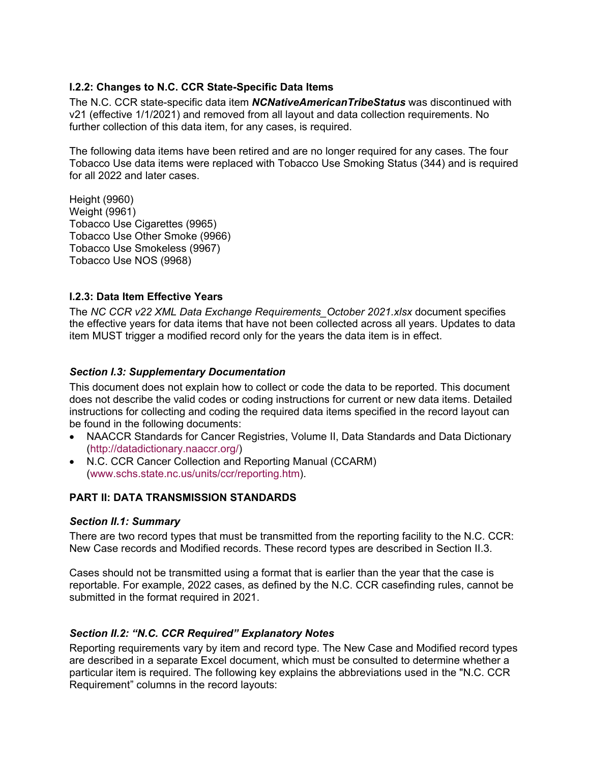# <span id="page-3-0"></span>**I.2.2: Changes to N.C. CCR State-Specific Data Items**

The N.C. CCR state-specific data item *NCNativeAmericanTribeStatus* was discontinued with v21 (effective 1/1/2021) and removed from all layout and data collection requirements. No further collection of this data item, for any cases, is required.

The following data items have been retired and are no longer required for any cases. The four Tobacco Use data items were replaced with Tobacco Use Smoking Status (344) and is required for all 2022 and later cases.

Height (9960) Weight (9961) Tobacco Use Cigarettes (9965) Tobacco Use Other Smoke (9966) Tobacco Use Smokeless (9967) Tobacco Use NOS (9968)

# <span id="page-3-1"></span>**I.2.3: Data Item Effective Years**

The *NC CCR v22 XML Data Exchange Requirements\_October 2021.xlsx* document specifies the effective years for data items that have not been collected across all years. Updates to data item MUST trigger a modified record only for the years the data item is in effect.

# <span id="page-3-2"></span>*Section I.3: Supplementary Documentation*

This document does not explain how to collect or code the data to be reported. This document does not describe the valid codes or coding instructions for current or new data items. Detailed instructions for collecting and coding the required data items specified in the record layout can be found in the following documents:

- NAACCR Standards for Cancer Registries, Volume II, Data Standards and Data Dictionary [\(http://datadictionary.naaccr.org/\)](http://datadictionary.naaccr.org/)
- N.C. CCR Cancer Collection and Reporting Manual (CCARM) [\(www.schs.state.nc.us/units/ccr/reporting.htm\)](http://www.schs.state.nc.us/units/ccr/reporting.htm).

# <span id="page-3-3"></span>**PART II: DATA TRANSMISSION STANDARDS**

# <span id="page-3-4"></span>*Section II.1: Summary*

There are two record types that must be transmitted from the reporting facility to the N.C. CCR: New Case records and Modified records. These record types are described in Section II.3.

Cases should not be transmitted using a format that is earlier than the year that the case is reportable. For example, 2022 cases, as defined by the N.C. CCR casefinding rules, cannot be submitted in the format required in 2021.

# <span id="page-3-5"></span>*Section II.2: "N.C. CCR Required" Explanatory Notes*

Reporting requirements vary by item and record type. The New Case and Modified record types are described in a separate Excel document, which must be consulted to determine whether a particular item is required. The following key explains the abbreviations used in the "N.C. CCR Requirement" columns in the record layouts: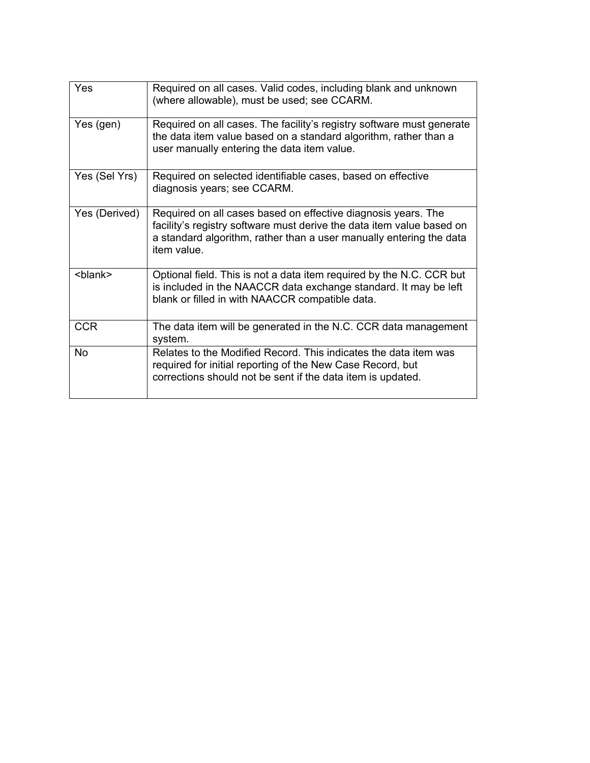| Yes             | Required on all cases. Valid codes, including blank and unknown<br>(where allowable), must be used; see CCARM.                                                                                                               |  |
|-----------------|------------------------------------------------------------------------------------------------------------------------------------------------------------------------------------------------------------------------------|--|
| Yes (gen)       | Required on all cases. The facility's registry software must generate<br>the data item value based on a standard algorithm, rather than a<br>user manually entering the data item value.                                     |  |
| Yes (Sel Yrs)   | Required on selected identifiable cases, based on effective<br>diagnosis years; see CCARM.                                                                                                                                   |  |
| Yes (Derived)   | Required on all cases based on effective diagnosis years. The<br>facility's registry software must derive the data item value based on<br>a standard algorithm, rather than a user manually entering the data<br>item value. |  |
| <blank></blank> | Optional field. This is not a data item required by the N.C. CCR but<br>is included in the NAACCR data exchange standard. It may be left<br>blank or filled in with NAACCR compatible data.                                  |  |
| <b>CCR</b>      | The data item will be generated in the N.C. CCR data management<br>system.                                                                                                                                                   |  |
| <b>No</b>       | Relates to the Modified Record. This indicates the data item was<br>required for initial reporting of the New Case Record, but<br>corrections should not be sent if the data item is updated.                                |  |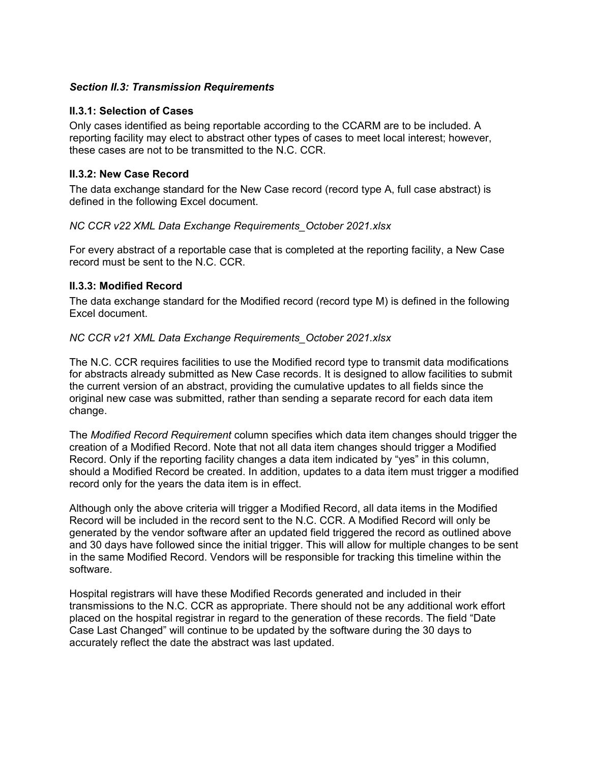# <span id="page-5-0"></span>*Section II.3: Transmission Requirements*

#### <span id="page-5-1"></span>**II.3.1: Selection of Cases**

Only cases identified as being reportable according to the CCARM are to be included. A reporting facility may elect to abstract other types of cases to meet local interest; however, these cases are not to be transmitted to the N.C. CCR.

# <span id="page-5-2"></span>**II.3.2: New Case Record**

The data exchange standard for the New Case record (record type A, full case abstract) is defined in the following Excel document.

#### *NC CCR v22 XML Data Exchange Requirements\_October 2021.xlsx*

For every abstract of a reportable case that is completed at the reporting facility, a New Case record must be sent to the N.C. CCR.

# <span id="page-5-3"></span>**II.3.3: Modified Record**

The data exchange standard for the Modified record (record type M) is defined in the following Excel document.

#### *NC CCR v21 XML Data Exchange Requirements\_October 2021.xlsx*

The N.C. CCR requires facilities to use the Modified record type to transmit data modifications for abstracts already submitted as New Case records. It is designed to allow facilities to submit the current version of an abstract, providing the cumulative updates to all fields since the original new case was submitted, rather than sending a separate record for each data item change.

The *Modified Record Requirement* column specifies which data item changes should trigger the creation of a Modified Record. Note that not all data item changes should trigger a Modified Record. Only if the reporting facility changes a data item indicated by "yes" in this column, should a Modified Record be created. In addition, updates to a data item must trigger a modified record only for the years the data item is in effect.

Although only the above criteria will trigger a Modified Record, all data items in the Modified Record will be included in the record sent to the N.C. CCR. A Modified Record will only be generated by the vendor software after an updated field triggered the record as outlined above and 30 days have followed since the initial trigger. This will allow for multiple changes to be sent in the same Modified Record. Vendors will be responsible for tracking this timeline within the software.

Hospital registrars will have these Modified Records generated and included in their transmissions to the N.C. CCR as appropriate. There should not be any additional work effort placed on the hospital registrar in regard to the generation of these records. The field "Date Case Last Changed" will continue to be updated by the software during the 30 days to accurately reflect the date the abstract was last updated.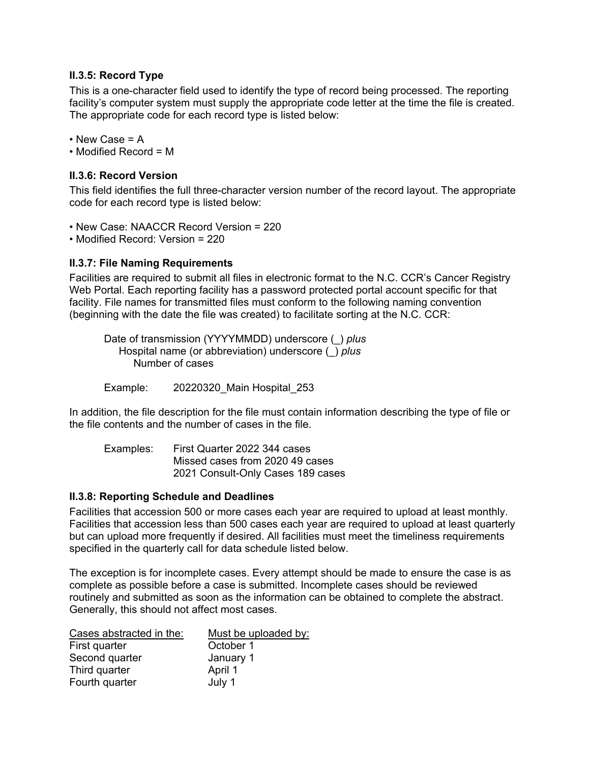# <span id="page-6-0"></span>**II.3.5: Record Type**

This is a one-character field used to identify the type of record being processed. The reporting facility's computer system must supply the appropriate code letter at the time the file is created. The appropriate code for each record type is listed below:

• New Case = A

<span id="page-6-1"></span>• Modified Record = M

### **II.3.6: Record Version**

This field identifies the full three-character version number of the record layout. The appropriate code for each record type is listed below:

- New Case: NAACCR Record Version = 220
- <span id="page-6-2"></span>• Modified Record: Version = 220

# **II.3.7: File Naming Requirements**

Facilities are required to submit all files in electronic format to the N.C. CCR's Cancer Registry Web Portal. Each reporting facility has a password protected portal account specific for that facility. File names for transmitted files must conform to the following naming convention (beginning with the date the file was created) to facilitate sorting at the N.C. CCR:

Date of transmission (YYYYMMDD) underscore (\_) *plus* Hospital name (or abbreviation) underscore (\_) *plus* Number of cases

Example: 20220320\_Main Hospital\_253

In addition, the file description for the file must contain information describing the type of file or the file contents and the number of cases in the file.

Examples: First Quarter 2022 344 cases Missed cases from 2020 49 cases 2021 Consult-Only Cases 189 cases

#### <span id="page-6-3"></span>**II.3.8: Reporting Schedule and Deadlines**

Facilities that accession 500 or more cases each year are required to upload at least monthly. Facilities that accession less than 500 cases each year are required to upload at least quarterly but can upload more frequently if desired. All facilities must meet the timeliness requirements specified in the quarterly call for data schedule listed below.

The exception is for incomplete cases. Every attempt should be made to ensure the case is as complete as possible before a case is submitted. Incomplete cases should be reviewed routinely and submitted as soon as the information can be obtained to complete the abstract. Generally, this should not affect most cases.

| Cases abstracted in the: | Must be uploaded by: |  |
|--------------------------|----------------------|--|
| First quarter            | October 1            |  |
| Second quarter           | January 1            |  |
| Third quarter            | April 1              |  |
| Fourth quarter           | July 1               |  |